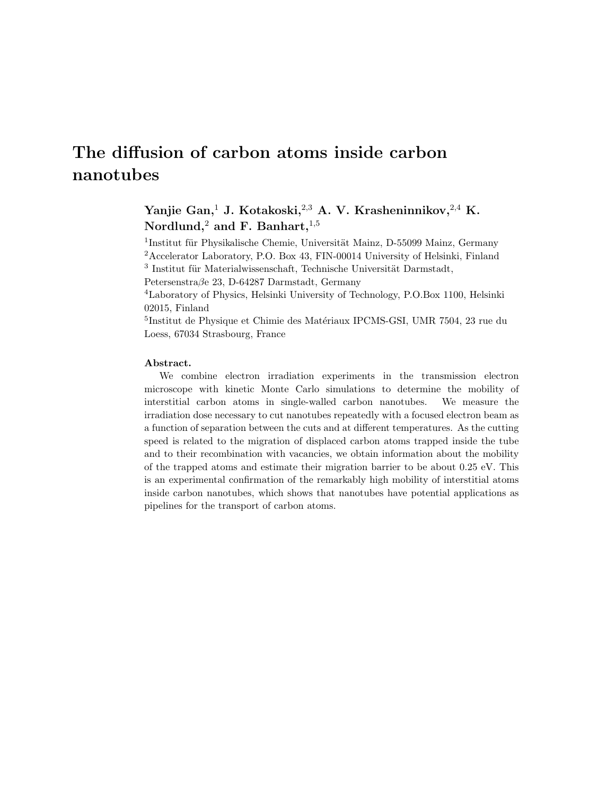# The diffusion of carbon atoms inside carbon nanotubes

## Yanjie Gan,<sup>1</sup> J. Kotakoski,<sup>2,3</sup> A. V. Krasheninnikov,<sup>2,4</sup> K. Nordlund,<sup>2</sup> and F. Banhart,<sup>1,5</sup>

<sup>1</sup>Institut für Physikalische Chemie, Universität Mainz, D-55099 Mainz, Germany <sup>2</sup>Accelerator Laboratory, P.O. Box 43, FIN-00014 University of Helsinki, Finland  $^3$ Institut für Materialwissenschaft, Technische Universität Darmstadt,

Petersenstraβe 23, D-64287 Darmstadt, Germany

<sup>4</sup>Laboratory of Physics, Helsinki University of Technology, P.O.Box 1100, Helsinki 02015, Finland

<sup>5</sup>Institut de Physique et Chimie des Matériaux IPCMS-GSI, UMR 7504, 23 rue du Loess, 67034 Strasbourg, France

#### Abstract.

We combine electron irradiation experiments in the transmission electron microscope with kinetic Monte Carlo simulations to determine the mobility of interstitial carbon atoms in single-walled carbon nanotubes. We measure the irradiation dose necessary to cut nanotubes repeatedly with a focused electron beam as a function of separation between the cuts and at different temperatures. As the cutting speed is related to the migration of displaced carbon atoms trapped inside the tube and to their recombination with vacancies, we obtain information about the mobility of the trapped atoms and estimate their migration barrier to be about 0.25 eV. This is an experimental confirmation of the remarkably high mobility of interstitial atoms inside carbon nanotubes, which shows that nanotubes have potential applications as pipelines for the transport of carbon atoms.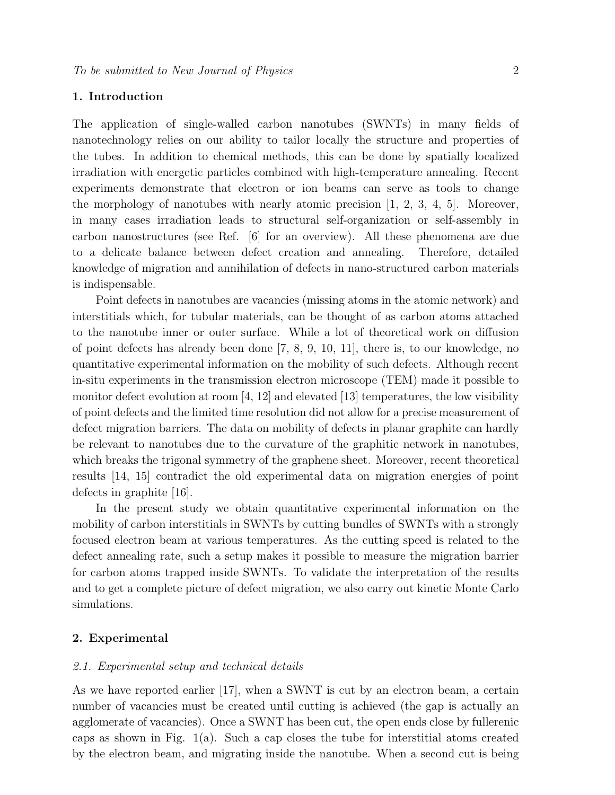## 1. Introduction

The application of single-walled carbon nanotubes (SWNTs) in many fields of nanotechnology relies on our ability to tailor locally the structure and properties of the tubes. In addition to chemical methods, this can be done by spatially localized irradiation with energetic particles combined with high-temperature annealing. Recent experiments demonstrate that electron or ion beams can serve as tools to change the morphology of nanotubes with nearly atomic precision  $[1, 2, 3, 4, 5]$ . Moreover, in many cases irradiation leads to structural self-organization or self-assembly in carbon nanostructures (see Ref. [6] for an overview). All these phenomena are due to a delicate balance between defect creation and annealing. Therefore, detailed knowledge of migration and annihilation of defects in nano-structured carbon materials is indispensable.

Point defects in nanotubes are vacancies (missing atoms in the atomic network) and interstitials which, for tubular materials, can be thought of as carbon atoms attached to the nanotube inner or outer surface. While a lot of theoretical work on diffusion of point defects has already been done [7, 8, 9, 10, 11], there is, to our knowledge, no quantitative experimental information on the mobility of such defects. Although recent in-situ experiments in the transmission electron microscope (TEM) made it possible to monitor defect evolution at room [4, 12] and elevated [13] temperatures, the low visibility of point defects and the limited time resolution did not allow for a precise measurement of defect migration barriers. The data on mobility of defects in planar graphite can hardly be relevant to nanotubes due to the curvature of the graphitic network in nanotubes, which breaks the trigonal symmetry of the graphene sheet. Moreover, recent theoretical results [14, 15] contradict the old experimental data on migration energies of point defects in graphite [16].

In the present study we obtain quantitative experimental information on the mobility of carbon interstitials in SWNTs by cutting bundles of SWNTs with a strongly focused electron beam at various temperatures. As the cutting speed is related to the defect annealing rate, such a setup makes it possible to measure the migration barrier for carbon atoms trapped inside SWNTs. To validate the interpretation of the results and to get a complete picture of defect migration, we also carry out kinetic Monte Carlo simulations.

## 2. Experimental

#### 2.1. Experimental setup and technical details

As we have reported earlier [17], when a SWNT is cut by an electron beam, a certain number of vacancies must be created until cutting is achieved (the gap is actually an agglomerate of vacancies). Once a SWNT has been cut, the open ends close by fullerenic caps as shown in Fig.  $1(a)$ . Such a cap closes the tube for interstitial atoms created by the electron beam, and migrating inside the nanotube. When a second cut is being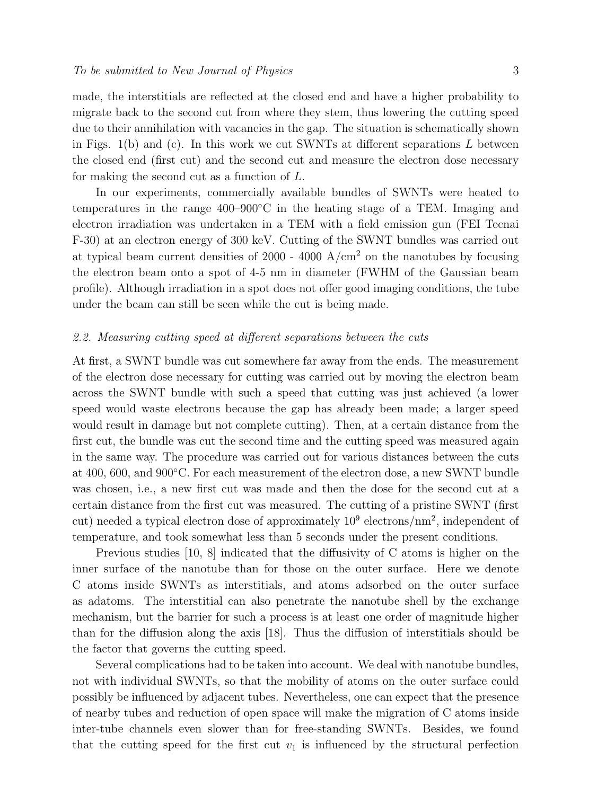made, the interstitials are reflected at the closed end and have a higher probability to migrate back to the second cut from where they stem, thus lowering the cutting speed due to their annihilation with vacancies in the gap. The situation is schematically shown in Figs. 1(b) and (c). In this work we cut SWNTs at different separations  $L$  between the closed end (first cut) and the second cut and measure the electron dose necessary for making the second cut as a function of L.

In our experiments, commercially available bundles of SWNTs were heated to temperatures in the range 400–900◦C in the heating stage of a TEM. Imaging and electron irradiation was undertaken in a TEM with a field emission gun (FEI Tecnai F-30) at an electron energy of 300 keV. Cutting of the SWNT bundles was carried out at typical beam current densities of 2000 - 4000  $A/cm<sup>2</sup>$  on the nanotubes by focusing the electron beam onto a spot of 4-5 nm in diameter (FWHM of the Gaussian beam profile). Although irradiation in a spot does not offer good imaging conditions, the tube under the beam can still be seen while the cut is being made.

#### 2.2. Measuring cutting speed at different separations between the cuts

At first, a SWNT bundle was cut somewhere far away from the ends. The measurement of the electron dose necessary for cutting was carried out by moving the electron beam across the SWNT bundle with such a speed that cutting was just achieved (a lower speed would waste electrons because the gap has already been made; a larger speed would result in damage but not complete cutting). Then, at a certain distance from the first cut, the bundle was cut the second time and the cutting speed was measured again in the same way. The procedure was carried out for various distances between the cuts at 400, 600, and 900◦C. For each measurement of the electron dose, a new SWNT bundle was chosen, i.e., a new first cut was made and then the dose for the second cut at a certain distance from the first cut was measured. The cutting of a pristine SWNT (first cut) needed a typical electron dose of approximately  $10^9$  electrons/nm<sup>2</sup>, independent of temperature, and took somewhat less than 5 seconds under the present conditions.

Previous studies [10, 8] indicated that the diffusivity of C atoms is higher on the inner surface of the nanotube than for those on the outer surface. Here we denote C atoms inside SWNTs as interstitials, and atoms adsorbed on the outer surface as adatoms. The interstitial can also penetrate the nanotube shell by the exchange mechanism, but the barrier for such a process is at least one order of magnitude higher than for the diffusion along the axis [18]. Thus the diffusion of interstitials should be the factor that governs the cutting speed.

Several complications had to be taken into account. We deal with nanotube bundles, not with individual SWNTs, so that the mobility of atoms on the outer surface could possibly be influenced by adjacent tubes. Nevertheless, one can expect that the presence of nearby tubes and reduction of open space will make the migration of C atoms inside inter-tube channels even slower than for free-standing SWNTs. Besides, we found that the cutting speed for the first cut  $v_1$  is influenced by the structural perfection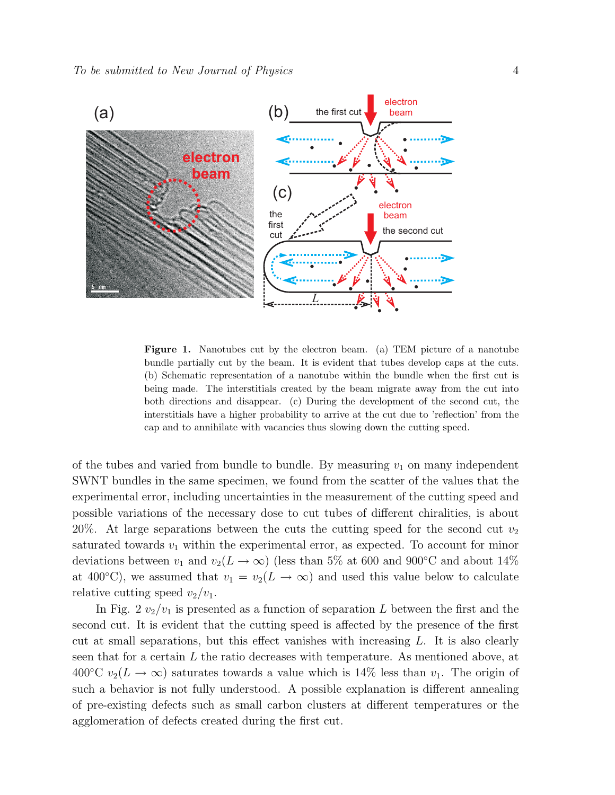

Figure 1. Nanotubes cut by the electron beam. (a) TEM picture of a nanotube bundle partially cut by the beam. It is evident that tubes develop caps at the cuts. (b) Schematic representation of a nanotube within the bundle when the first cut is being made. The interstitials created by the beam migrate away from the cut into both directions and disappear. (c) During the development of the second cut, the interstitials have a higher probability to arrive at the cut due to 'reflection' from the cap and to annihilate with vacancies thus slowing down the cutting speed.

of the tubes and varied from bundle to bundle. By measuring  $v_1$  on many independent SWNT bundles in the same specimen, we found from the scatter of the values that the experimental error, including uncertainties in the measurement of the cutting speed and possible variations of the necessary dose to cut tubes of different chiralities, is about 20%. At large separations between the cuts the cutting speed for the second cut  $v_2$ saturated towards  $v_1$  within the experimental error, as expected. To account for minor deviations between  $v_1$  and  $v_2(L \to \infty)$  (less than 5% at 600 and 900°C and about 14% at 400°C), we assumed that  $v_1 = v_2(L \to \infty)$  and used this value below to calculate relative cutting speed  $v_2/v_1$ .

In Fig. 2  $v_2/v_1$  is presented as a function of separation L between the first and the second cut. It is evident that the cutting speed is affected by the presence of the first cut at small separations, but this effect vanishes with increasing  $L$ . It is also clearly seen that for a certain  $L$  the ratio decreases with temperature. As mentioned above, at 400°C  $v_2(L \to \infty)$  saturates towards a value which is 14% less than  $v_1$ . The origin of such a behavior is not fully understood. A possible explanation is different annealing of pre-existing defects such as small carbon clusters at different temperatures or the agglomeration of defects created during the first cut.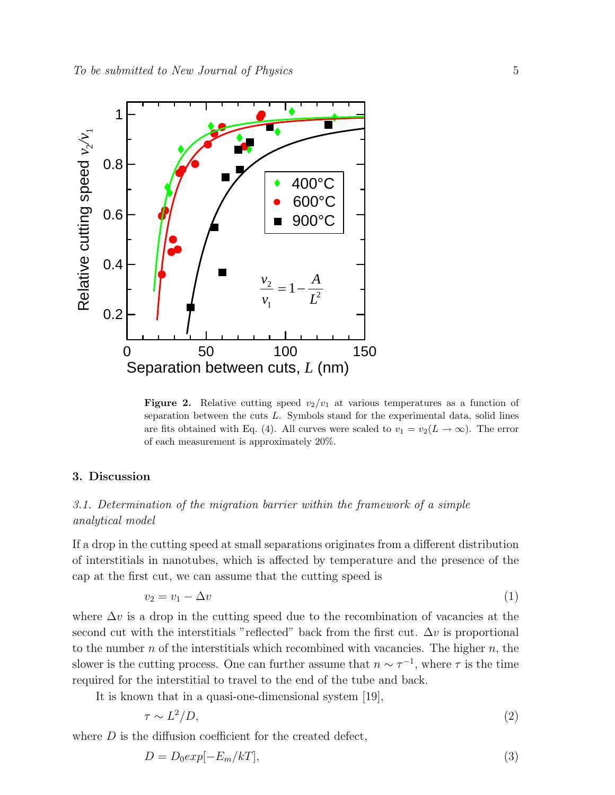

**Figure 2.** Relative cutting speed  $v_2/v_1$  at various temperatures as a function of separation between the cuts  $L$ . Symbols stand for the experimental data, solid lines are fits obtained with Eq. (4). All curves were scaled to  $v_1 = v_2(L \to \infty)$ . The error of each measurement is approximately 20%.

## 3. Discussion

## 3.1. Determination of the migration barrier within the framework of a simple analytical model

If a drop in the cutting speed at small separations originates from a different distribution of interstitials in nanotubes, which is affected by temperature and the presence of the cap at the first cut, we can assume that the cutting speed is

$$
v_2 = v_1 - \Delta v \tag{1}
$$

where  $\Delta v$  is a drop in the cutting speed due to the recombination of vacancies at the second cut with the interstitials "reflected" back from the first cut.  $\Delta v$  is proportional to the number  $n$  of the interstitials which recombined with vacancies. The higher  $n$ , the slower is the cutting process. One can further assume that  $n \sim \tau^{-1}$ , where  $\tau$  is the time required for the interstitial to travel to the end of the tube and back.

It is known that in a quasi-one-dimensional system [19],

$$
\tau \sim L^2/D,\tag{2}
$$

where  $D$  is the diffusion coefficient for the created defect,

$$
D = D_0 \exp[-E_m/kT],\tag{3}
$$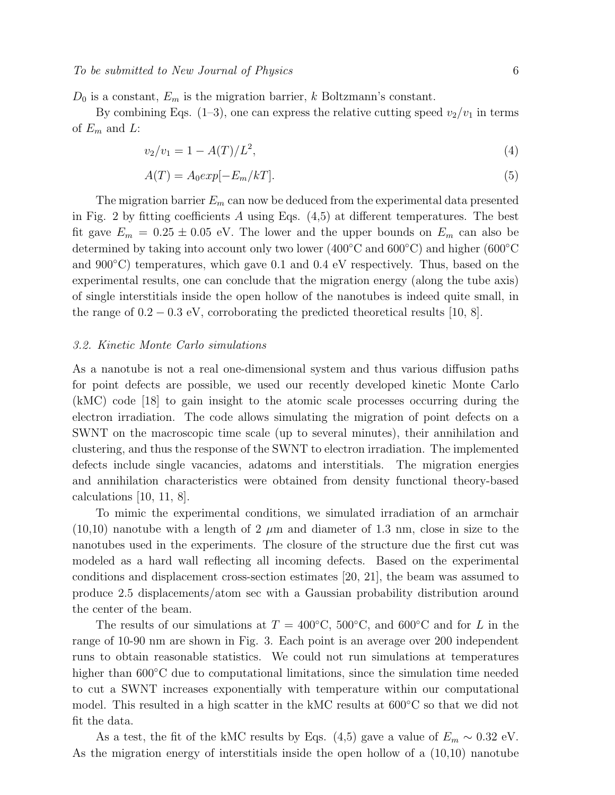$D_0$  is a constant,  $E_m$  is the migration barrier, k Boltzmann's constant.

By combining Eqs. (1–3), one can express the relative cutting speed  $v_2/v_1$  in terms of  $E_m$  and  $L$ :

$$
v_2/v_1 = 1 - A(T)/L^2,\tag{4}
$$

$$
A(T) = A_0 exp[-E_m/kT].
$$
\n(5)

The migration barrier  $E_m$  can now be deduced from the experimental data presented in Fig. 2 by fitting coefficients A using Eqs.  $(4,5)$  at different temperatures. The best fit gave  $E_m = 0.25 \pm 0.05$  eV. The lower and the upper bounds on  $E_m$  can also be determined by taking into account only two lower (400◦C and 600◦C) and higher (600◦C and 900<sup>°</sup>C) temperatures, which gave 0.1 and 0.4 eV respectively. Thus, based on the experimental results, one can conclude that the migration energy (along the tube axis) of single interstitials inside the open hollow of the nanotubes is indeed quite small, in the range of  $0.2 - 0.3$  eV, corroborating the predicted theoretical results [10, 8].

#### 3.2. Kinetic Monte Carlo simulations

As a nanotube is not a real one-dimensional system and thus various diffusion paths for point defects are possible, we used our recently developed kinetic Monte Carlo (kMC) code [18] to gain insight to the atomic scale processes occurring during the electron irradiation. The code allows simulating the migration of point defects on a SWNT on the macroscopic time scale (up to several minutes), their annihilation and clustering, and thus the response of the SWNT to electron irradiation. The implemented defects include single vacancies, adatoms and interstitials. The migration energies and annihilation characteristics were obtained from density functional theory-based calculations [10, 11, 8].

To mimic the experimental conditions, we simulated irradiation of an armchair  $(10,10)$  nanotube with a length of 2  $\mu$ m and diameter of 1.3 nm, close in size to the nanotubes used in the experiments. The closure of the structure due the first cut was modeled as a hard wall reflecting all incoming defects. Based on the experimental conditions and displacement cross-section estimates [20, 21], the beam was assumed to produce 2.5 displacements/atom sec with a Gaussian probability distribution around the center of the beam.

The results of our simulations at  $T = 400\degree\text{C}$ ,  $500\degree\text{C}$ , and  $600\degree\text{C}$  and for L in the range of 10-90 nm are shown in Fig. 3. Each point is an average over 200 independent runs to obtain reasonable statistics. We could not run simulations at temperatures higher than  $600\degree$ C due to computational limitations, since the simulation time needed to cut a SWNT increases exponentially with temperature within our computational model. This resulted in a high scatter in the kMC results at 600◦C so that we did not fit the data.

As a test, the fit of the kMC results by Eqs. (4,5) gave a value of  $E_m \sim 0.32 \text{ eV}$ . As the migration energy of interstitials inside the open hollow of a (10,10) nanotube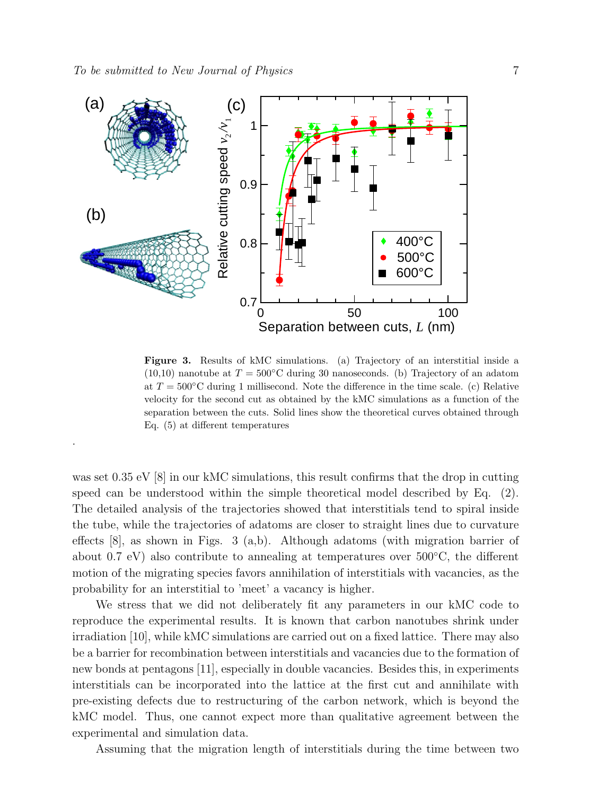.



Figure 3. Results of kMC simulations. (a) Trajectory of an interstitial inside a  $(10,10)$  nanotube at  $T = 500^{\circ}$ C during 30 nanoseconds. (b) Trajectory of an adatom at  $T = 500\textdegree C$  during 1 millisecond. Note the difference in the time scale. (c) Relative velocity for the second cut as obtained by the kMC simulations as a function of the separation between the cuts. Solid lines show the theoretical curves obtained through Eq. (5) at different temperatures

was set  $0.35 \text{ eV}$  [8] in our kMC simulations, this result confirms that the drop in cutting speed can be understood within the simple theoretical model described by Eq. (2). The detailed analysis of the trajectories showed that interstitials tend to spiral inside the tube, while the trajectories of adatoms are closer to straight lines due to curvature effects [8], as shown in Figs. 3 (a,b). Although adatoms (with migration barrier of about 0.7 eV) also contribute to annealing at temperatures over 500◦C, the different motion of the migrating species favors annihilation of interstitials with vacancies, as the probability for an interstitial to 'meet' a vacancy is higher.

We stress that we did not deliberately fit any parameters in our kMC code to reproduce the experimental results. It is known that carbon nanotubes shrink under irradiation [10], while kMC simulations are carried out on a fixed lattice. There may also be a barrier for recombination between interstitials and vacancies due to the formation of new bonds at pentagons [11], especially in double vacancies. Besides this, in experiments interstitials can be incorporated into the lattice at the first cut and annihilate with pre-existing defects due to restructuring of the carbon network, which is beyond the kMC model. Thus, one cannot expect more than qualitative agreement between the experimental and simulation data.

Assuming that the migration length of interstitials during the time between two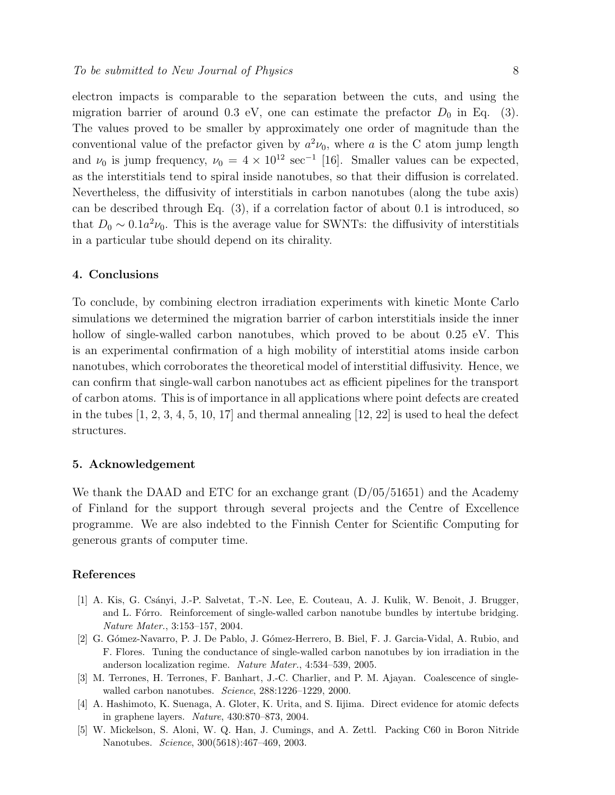electron impacts is comparable to the separation between the cuts, and using the migration barrier of around 0.3 eV, one can estimate the prefactor  $D_0$  in Eq. (3). The values proved to be smaller by approximately one order of magnitude than the conventional value of the prefactor given by  $a^2\nu_0$ , where a is the C atom jump length and  $\nu_0$  is jump frequency,  $\nu_0 = 4 \times 10^{12} \text{ sec}^{-1}$  [16]. Smaller values can be expected, as the interstitials tend to spiral inside nanotubes, so that their diffusion is correlated. Nevertheless, the diffusivity of interstitials in carbon nanotubes (along the tube axis) can be described through Eq. (3), if a correlation factor of about 0.1 is introduced, so that  $D_0 \sim 0.1a^2 \nu_0$ . This is the average value for SWNTs: the diffusivity of interstitials in a particular tube should depend on its chirality.

## 4. Conclusions

To conclude, by combining electron irradiation experiments with kinetic Monte Carlo simulations we determined the migration barrier of carbon interstitials inside the inner hollow of single-walled carbon nanotubes, which proved to be about 0.25 eV. This is an experimental confirmation of a high mobility of interstitial atoms inside carbon nanotubes, which corroborates the theoretical model of interstitial diffusivity. Hence, we can confirm that single-wall carbon nanotubes act as efficient pipelines for the transport of carbon atoms. This is of importance in all applications where point defects are created in the tubes  $\left[1, 2, 3, 4, 5, 10, 17\right]$  and thermal annealing  $\left[12, 22\right]$  is used to heal the defect structures.

## 5. Acknowledgement

We thank the DAAD and ETC for an exchange grant  $(D/05/51651)$  and the Academy of Finland for the support through several projects and the Centre of Excellence programme. We are also indebted to the Finnish Center for Scientific Computing for generous grants of computer time.

#### References

- [1] A. Kis, G. Csányi, J.-P. Salvetat, T.-N. Lee, E. Couteau, A. J. Kulik, W. Benoit, J. Brugger, and L. Fórro. Reinforcement of single-walled carbon nanotube bundles by intertube bridging. Nature Mater., 3:153–157, 2004.
- [2] G. Gómez-Navarro, P. J. De Pablo, J. Gómez-Herrero, B. Biel, F. J. Garcia-Vidal, A. Rubio, and F. Flores. Tuning the conductance of single-walled carbon nanotubes by ion irradiation in the anderson localization regime. Nature Mater., 4:534–539, 2005.
- [3] M. Terrones, H. Terrones, F. Banhart, J.-C. Charlier, and P. M. Ajayan. Coalescence of singlewalled carbon nanotubes. Science, 288:1226–1229, 2000.
- [4] A. Hashimoto, K. Suenaga, A. Gloter, K. Urita, and S. Iijima. Direct evidence for atomic defects in graphene layers. Nature, 430:870–873, 2004.
- [5] W. Mickelson, S. Aloni, W. Q. Han, J. Cumings, and A. Zettl. Packing C60 in Boron Nitride Nanotubes. Science, 300(5618):467–469, 2003.